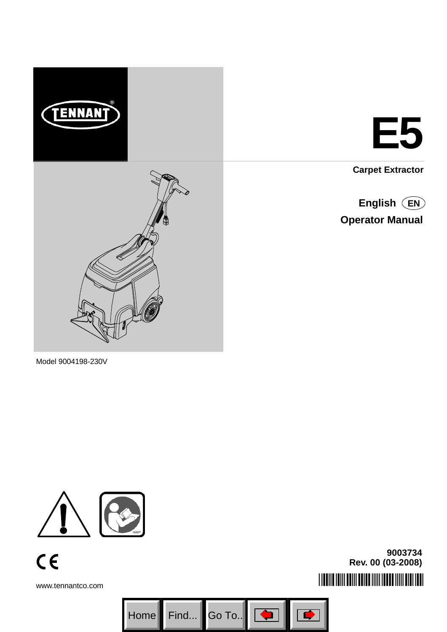



**Carpet Extractor**

**Operator Manual English EN**



Model 9004198-230V



**9003734 Rev. 00 (03-2008)**

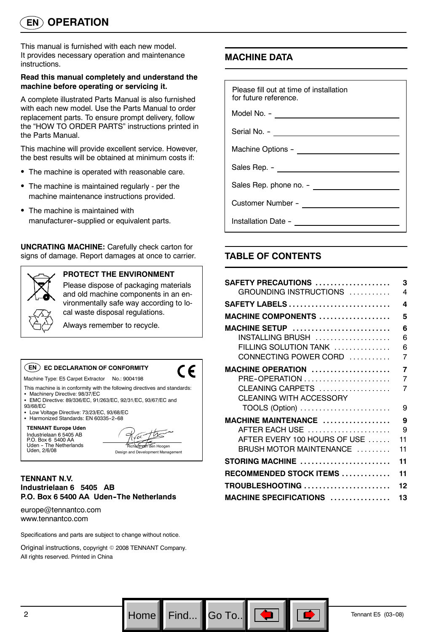# **EN OPERATION**

This manual is furnished with each new model. It provides necessary operation and maintenance instructions.

#### **Read this manual completely and understand the machine before operating or servicing it.**

A complete illustrated Parts Manual is also furnished with each new model. Use the Parts Manual to order replacement parts. To ensure prompt delivery, follow the "HOW TO ORDER PARTS" instructions printed in the Parts Manual.

This machine will provide excellent service. However, the best results will be obtained at minimum costs if:

- The machine is operated with reasonable care.
- The machine is maintained regularly per the machine maintenance instructions provided.
- The machine is maintained with manufacturer--supplied or equivalent parts.

**UNCRATING MACHINE:** Carefully check carton for signs of damage. Report damages at once to carrier.



#### **PROTECT THE ENVIRONMENT**

Please dispose of packaging materials and old machine components in an environmentally safe way according to local waste disposal regulations.

> Richard van den Hoogen Design and Development Management

. Co

Always remember to recycle.

#### $\mathsf{EN}\,\mathbb{C}$   $\mathsf{DECLARATION}$  of  $\mathsf{CONFORMITY}$ Machine Type: E5 Carpet Extractor No.: 9004198



Go To..

This machine is in conformity with the following directives and standards:

• Machinery Directive: 98/37/EC • EMC Directive: 89/336/EC, 91/263/EC, 92/31/EC, 93/67/EC and 93/68/EC

- Low Voltage Directive: 73/23/EC, 93/68/EC
- Harmonized Standards: EN 60335-2-68

**TENNANT Europe Uden** Industrielaan 6 5405 AB P.O. Box 6 5400 AA<br>Uden - The Netherlands Uden, 2/6/08

#### **TENNANT N.V. Industrielaan 6 5405 AB** P.O. Box 6 5400 AA Uden-The Netherlands

europe@tennantco.com www.tennantco.com

Specifications and parts are subject to change without notice.

Original instructions, copyright © 2008 TENNANT Company. All rights reserved. Printed in China

## **MACHINE DATA**

| Please fill out at time of installation<br>for future reference. |  |  |  |  |
|------------------------------------------------------------------|--|--|--|--|
| Model No. - _____________________                                |  |  |  |  |
|                                                                  |  |  |  |  |
|                                                                  |  |  |  |  |
|                                                                  |  |  |  |  |
|                                                                  |  |  |  |  |
|                                                                  |  |  |  |  |
|                                                                  |  |  |  |  |

# **TABLE OF CONTENTS**

| SAFETY PRECAUTIONS<br>GROUNDING INSTRUCTIONS                                                                   | 3<br>4             |
|----------------------------------------------------------------------------------------------------------------|--------------------|
| <b>SAFETY LABELS</b>                                                                                           | 4                  |
| <b>MACHINE COMPONENTS </b>                                                                                     | 5                  |
| MACHINE SETUP<br>INSTALLING BRUSH<br>$FILLING$ SOLUTION TANK $\ldots, \ldots, \ldots$<br>CONNECTING POWER CORD | 6<br>6<br>6<br>7   |
| MACHINE OPERATION<br>CLEANING CARPETS<br><b>CLEANING WITH ACCESSORY</b><br>TOOLS (Option)                      | 7<br>7<br>7<br>9   |
| MACHINE MAINTENANCE<br>AFTER EACH USE<br>AFTER EVERY 100 HOURS OF USE<br>BRUSH MOTOR MAINTENANCE               | 9<br>9<br>11<br>11 |
| STORING MACHINE                                                                                                | 11                 |
| RECOMMENDED STOCK ITEMS                                                                                        | 11                 |
| TROUBLESHOOTING                                                                                                | 12                 |
| MACHINE SPECIFICATIONS                                                                                         | 13                 |

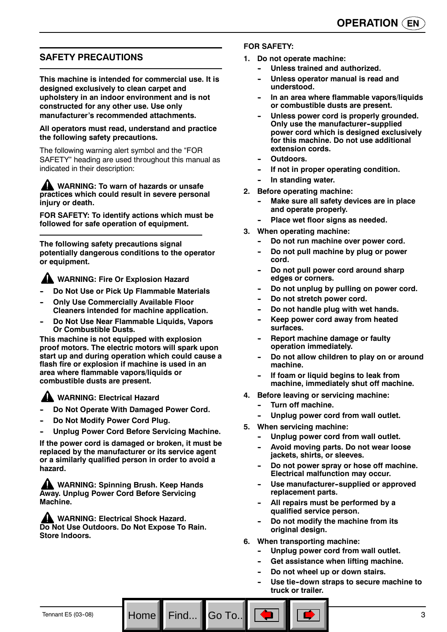## **SAFETY PRECAUTIONS**

**This machine is intended for commercial use. It is designed exclusively to clean carpet and upholstery in an indoor environment and is not constructed for any other use. Use only manufacturer's recommended attachments.**

#### **All operators must read, understand and practice the following safety precautions.**

The following warning alert symbol and the "FOR SAFETY" heading are used throughout this manual as indicated in their description:

**WARNING: To warn of hazards or unsafe practices which could result in severe personal injury or death.**

**FOR SAFETY: To identify actions which must be followed for safe operation of equipment.**

**The following safety precautions signal potentially dangerous conditions to the operator or equipment.**

**A WARNING: Fire Or Explosion Hazard** 

- **Do Not Use or Pick Up Flammable Materials**
- **Only Use Commercially Available Floor Cleaners intended for machine application.**
- **Do Not Use Near Flammable Liquids, Vapors Or Combustible Dusts.**

**This machine is not equipped with explosion proof motors. The electric motors will spark upon start up and during operation which could cause a flash fire or explosion if machine is used in an area where flammable vapors/liquids or combustible dusts are present.**

**AL WARNING: Electrical Hazard** 

- Do Not Operate With Damaged Power Cord.
- Do Not Modify Power Cord Plug.
- **-- Unplug Power Cord Before Servicing Machine.**

**If the power cord is damaged or broken, it must be replaced by the manufacturer or its service agent or a similarly qualified person in order to avoid a hazard.**

**WARNING: Spinning Brush. Keep Hands Away. Unplug Power Cord Before Servicing Machine.**

**A WARNING: Electrical Shock Hazard. Do Not Use Outdoors. Do Not Expose To Rain. Store Indoors.**

#### **FOR SAFETY:**

- **1. Do not operate machine:**
	- **Unless trained and authorized.**
	- **Unless operator manual is read and understood.**
	- In an area where flammable vapors/liquids **or combustible dusts are present.**
	- Unless power cord is properly grounded. **Only use the manufacturer-supplied power cord which is designed exclusively for this machine. Do not use additional extension cords.**
	- Outdoors.
	- If not in proper operating condition.
	- **In standing water.**
- **2. Before operating machine:**
	- **Make sure all safety devices are in place and operate properly.**
	- Place wet floor signs as needed.
- **3. When operating machine:**
	- Do not run machine over power cord.
	- **Do not pull machine by plug or power cord.**
	- **Do not pull power cord around sharp edges or corners.**
	- Do not unplug by pulling on power cord.
	- Do not stretch power cord.
	- Do not handle plug with wet hands.
	- **Keep power cord away from heated surfaces.**
	- **Report machine damage or faulty operation immediately.**
	- Do not allow children to play on or around **machine.**
	- **If foam or liquid begins to leak from machine, immediately shut off machine.**
- **4. Before leaving or servicing machine:**
	- **Turn off machine.**
	- Unplug power cord from wall outlet.
- **5. When servicing machine:**
	- Unplug power cord from wall outlet.
	- Avoid moving parts. Do not wear loose **jackets, shirts, or sleeves.**
	- Do not power spray or hose off machine. **Electrical malfunction may occur.**
	- Use manufacturer-supplied or approved **replacement parts.**
	- All repairs must be performed by a **qualified service person.**
	- **Do not modify the machine from its original design.**
- **6. When transporting machine:**

Go To.

- Unplug power cord from wall outlet.
- **Get assistance when lifting machine.**
- Do not wheel up or down stairs.
- Use tie-down straps to secure machine to **truck or trailer.**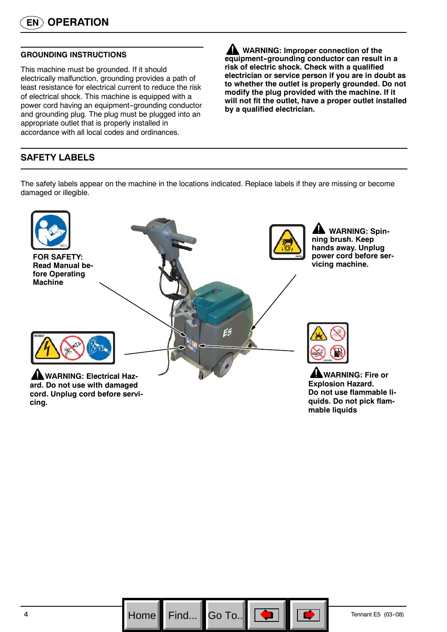#### **GROUNDING INSTRUCTIONS**

This machine must be grounded. If it should electrically malfunction, grounding provides a path of least resistance for electrical current to reduce the risk of electrical shock. This machine is equipped with a power cord having an equipment-grounding conductor and grounding plug. The plug must be plugged into an appropriate outlet that is properly installed in accordance with all local codes and ordinances.

# **SAFETY LABELS**

The safety labels appear on the machine in the locations indicated. Replace labels if they are missing or become damaged or illegible.



Find...

**to whether the outlet is properly grounded. Do not modify the plug provided with the machine. If it will not fit the outlet, have a proper outlet installed by a qualified electrician.**

**A** WARNING: Improper connection of the equipment-grounding conductor can result in a **risk of electric shock. Check with a qualified electrician or service person if you are in doubt as**

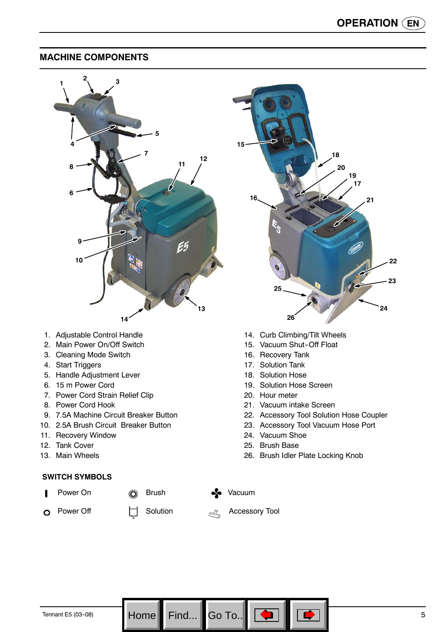**24**

**23**

**22**

## **MACHINE COMPONENTS**



- 1. Adjustable Control Handle
- 2. Main Power On/Off Switch
- 3. Cleaning Mode Switch
- 4. Start Triggers
- 5. Handle Adjustment Lever
- 6. 15 m Power Cord
- 7. Power Cord Strain Relief Clip
- 8. Power Cord Hook
- 9. 7.5A Machine Circuit Breaker Button
- 10. 2.5A Brush Circuit Breaker Button
- 11. Recovery Window
- 12. Tank Cover
- 13. Main Wheels

#### **SWITCH SYMBOLS**

- ı Power On
- Power Off  $\circ$

Solution

Brush

14. Curb Climbing/Tilt Wheels

- 15. Vacuum Shut-Off Float
- 16. Recovery Tank
- 17. Solution Tank
- 18. Solution Hose
- 19. Solution Hose Screen
- 20. Hour meter
- 21. Vacuum intake Screen
- 22. Accessory Tool Solution Hose Coupler
- 23. Accessory Tool Vacuum Hose Port
- 24. Vacuum Shoe
- 25. Brush Base
- 26. Brush Idler Plate Locking Knob



Go To..

Accessory Tool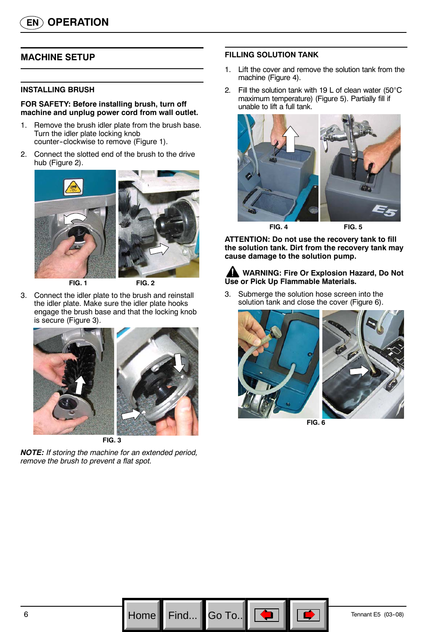## **MACHINE SETUP**

#### **INSTALLING BRUSH**

#### **FOR SAFETY: Before installing brush, turn off machine and unplug power cord from wall outlet.**

- 1. Remove the brush idler plate from the brush base. Turn the idler plate locking knob counter-clockwise to remove (Figure 1).
- 2. Connect the slotted end of the brush to the drive hub (Figure 2).



**FIG. 1 FIG. 2**

3. Connect the idler plate to the brush and reinstall the idler plate. Make sure the idler plate hooks engage the brush base and that the locking knob is secure (Figure 3).



**FIG. 3**

*NOTE: If storing the machine for an extended period, remove the brush to prevent a flat spot.*

#### **FILLING SOLUTION TANK**

- 1. Lift the cover and remove the solution tank from the machine (Figure 4).
- 2. Fill the solution tank with 19 L of clean water (50°C maximum temperature) (Figure 5). Partially fill if unable to lift a full tank.



**ATTENTION: Do not use the recovery tank to fill the solution tank. Dirt from the recovery tank may cause damage to the solution pump.**

### **WARNING: Fire Or Explosion Hazard, Do Not Use or Pick Up Flammable Materials.**

3. Submerge the solution hose screen into the solution tank and close the cover (Figure 6).



Go To.



**FIG. 6**

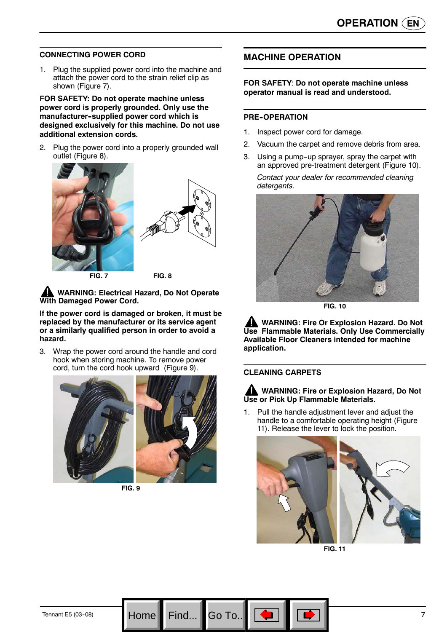#### **CONNECTING POWER CORD**

1. Plug the supplied power cord into the machine and attach the power cord to the strain relief clip as shown (Figure 7).

**FOR SAFETY: Do not operate machine unless power cord is properly grounded. Only use the manufacturer--supplied power cord which is designed exclusively for this machine. Do not use additional extension cords.**

2. Plug the power cord into a properly grounded wall outlet (Figure 8).





**FIG. 7 FIG. 8**

**WARNING: Electrical Hazard, Do Not Operate With Damaged Power Cord.**

**If the power cord is damaged or broken, it must be replaced by the manufacturer or its service agent or a similarly qualified person in order to avoid a hazard.**

3. Wrap the power cord around the handle and cord hook when storing machine. To remove power cord, turn the cord hook upward (Figure 9).



**FIG. 9**

Home

#### **MACHINE OPERATION**

**FOR SAFETY**: **Do not operate machine unless operator manual is read and understood.**

#### **PRE-OPERATION**

- 1. Inspect power cord for damage.
- 2. Vacuum the carpet and remove debris from area.
- 3. Using a pump-up sprayer, spray the carpet with an approved pre-treatment detergent (Figure 10).

*Contact your dealer for recommended cleaning detergents.*



**FIG. 10**

**WARNING: Fire Or Explosion Hazard. Do Not Use Flammable Materials. Only Use Commercially Available Floor Cleaners intended for machine application.**

#### **CLEANING CARPETS**

#### **WARNING: Fire or Explosion Hazard, Do Not Use or Pick Up Flammable Materials.**

1. Pull the handle adjustment lever and adjust the handle to a comfortable operating height (Figure 11). Release the lever to lock the position.



**FIG. 11**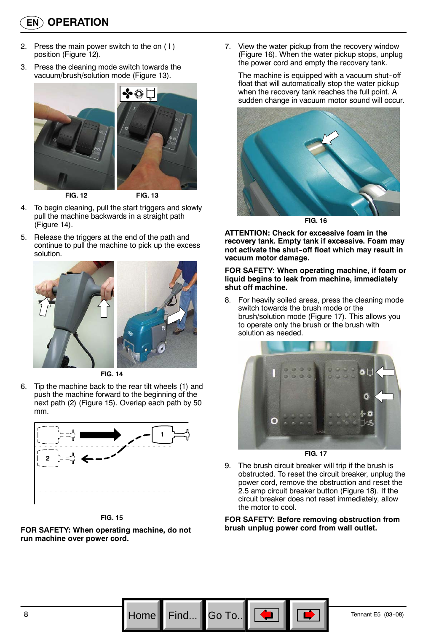- 2. Press the main power switch to the on ( I ) position (Figure 12).
- 3. Press the cleaning mode switch towards the vacuum/brush/solution mode (Figure 13).



**FIG. 12 FIG. 13**

- 4. To begin cleaning, pull the start triggers and slowly pull the machine backwards in a straight path (Figure 14).
- 5. Release the triggers at the end of the path and continue to pull the machine to pick up the excess solution.



**FIG. 14**

6. Tip the machine back to the rear tilt wheels (1) and push the machine forward to the beginning of the next path (2) (Figure 15). Overlap each path by 50 mm.



**FIG. 15**

**FOR SAFETY: When operating machine, do not run machine over power cord.**

7. View the water pickup from the recovery window (Figure 16). When the water pickup stops, unplug the power cord and empty the recovery tank.

The machine is equipped with a vacuum shut-off float that will automatically stop the water pickup when the recovery tank reaches the full point. A sudden change in vacuum motor sound will occur.



**FIG. 16**

**ATTENTION: Check for excessive foam in the recovery tank. Empty tank if excessive. Foam may not activate the shut--off float which may result in vacuum motor damage.**

#### **FOR SAFETY: When operating machine, if foam or liquid begins to leak from machine, immediately shut off machine.**

8. For heavily soiled areas, press the cleaning mode switch towards the brush mode or the brush/solution mode (Figure 17). This allows you to operate only the brush or the brush with solution as needed.



**FIG. 17**

9. The brush circuit breaker will trip if the brush is obstructed. To reset the circuit breaker, unplug the power cord, remove the obstruction and reset the 2.5 amp circuit breaker button (Figure 18). If the circuit breaker does not reset immediately, allow the motor to cool.

**FOR SAFETY: Before removing obstruction from brush unplug power cord from wall outlet.**

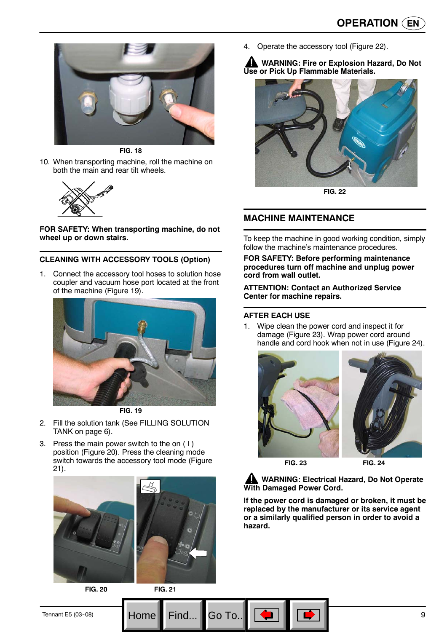

**FIG. 18**

10. When transporting machine, roll the machine on both the main and rear tilt wheels.



**FOR SAFETY: When transporting machine, do not wheel up or down stairs.**

#### **CLEANING WITH ACCESSORY TOOLS (Option)**

1. Connect the accessory tool hoses to solution hose coupler and vacuum hose port located at the front of the machine (Figure 19).



**FIG. 19**

- 2. Fill the solution tank (See FILLING SOLUTION TANK on page 6).
- 3. Press the main power switch to the on ( I ) position (Figure 20). Press the cleaning mode switch towards the accessory tool mode (Figure 21).



**FIG. 20 FIG. 21**

4. Operate the accessory tool (Figure 22).

**WARNING: Fire or Explosion Hazard, Do Not Use or Pick Up Flammable Materials.**



**FIG. 22**

#### **MACHINE MAINTENANCE**

To keep the machine in good working condition, simply follow the machine's maintenance procedures.

**FOR SAFETY: Before performing maintenance procedures turn off machine and unplug power cord from wall outlet.**

**ATTENTION: Contact an Authorized Service Center for machine repairs.**

#### **AFTER EACH USE**

1. Wipe clean the power cord and inspect it for damage (Figure 23). Wrap power cord around handle and cord hook when not in use (Figure 24).



**FIG. 23 FIG. 24**

**WARNING: Electrical Hazard, Do Not Operate With Damaged Power Cord.**

**If the power cord is damaged or broken, it must be replaced by the manufacturer or its service agent or a similarly qualified person in order to avoid a hazard.**

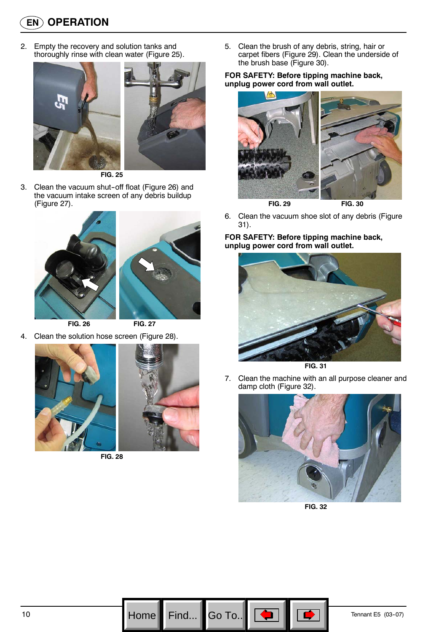# **EN OPERATION**

2. Empty the recovery and solution tanks and thoroughly rinse with clean water (Figure 25).



**FIG. 25**

3. Clean the vacuum shut-off float (Figure 26) and the vacuum intake screen of any debris buildup (Figure 27).





4. Clean the solution hose screen (Figure 28).





**FIG. 28**



#### **FOR SAFETY: Before tipping machine back, unplug power cord from wall outlet.**



**FIG. 29 FIG. 30**

6. Clean the vacuum shoe slot of any debris (Figure 31).

**FOR SAFETY: Before tipping machine back, unplug power cord from wall outlet.**



**FIG. 31**

7. Clean the machine with an all purpose cleaner and damp cloth (Figure 32).



**FIG. 32**

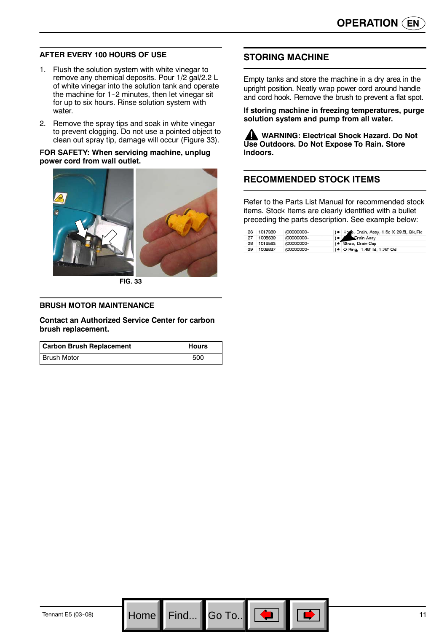#### **AFTER EVERY 100 HOURS OF USE**

- 1. Flush the solution system with white vinegar to remove any chemical deposits. Pour 1/2 gal/2.2 L of white vinegar into the solution tank and operate the machine for 1-2 minutes, then let vinegar sit for up to six hours. Rinse solution system with water.
- 2. Remove the spray tips and soak in white vinegar to prevent clogging. Do not use a pointed object to clean out spray tip, damage will occur (Figure 33).

#### **FOR SAFETY: When servicing machine, unplug power cord from wall outlet.**





## **STORING MACHINE**

Empty tanks and store the machine in a dry area in the upright position. Neatly wrap power cord around handle and cord hook. Remove the brush to prevent a flat spot.

**If storing machine in freezing temperatures, purge solution system and pump from all water.**

**WARNING: Electrical Shock Hazard. Do Not Use Outdoors. Do Not Expose To Rain. Store Indoors.**

## **RECOMMENDED STOCK ITEMS**

Refer to the Parts List Manual for recommended stock items. Stock Items are clearly identified with a bullet preceding the parts description. See example below:

| 26 | 1017380    | (00000000- | ) Home, Drain, Assy, 1.5d X 29.5l, Blk, Flx |
|----|------------|------------|---------------------------------------------|
| 27 | 1008639    | (00000000- | Drain Assy                                  |
|    | 28 1019563 | (00000000- | ) · Strap, Drain Cap                        |
| 29 | 1008637    | (00000000- | ) • O Ring, 1.48" Id, 1.76" Od              |

#### **BRUSH MOTOR MAINTENANCE**

**Contact an Authorized Service Center for carbon brush replacement.**

| <b>Carbon Brush Replacement</b> | <b>Hours</b> |
|---------------------------------|--------------|
| Brush Motor                     | 500          |

Go To..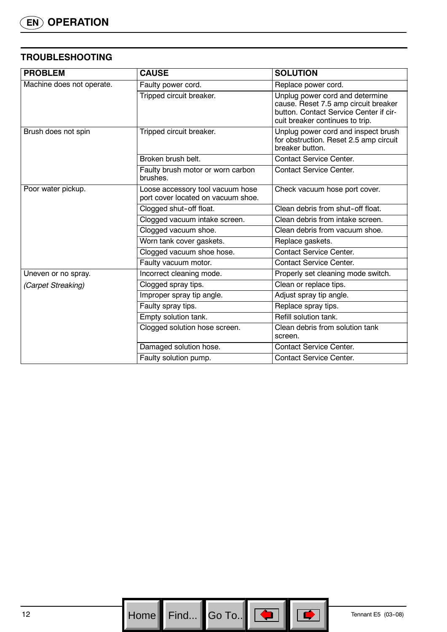# **TROUBLESHOOTING**

| <b>PROBLEM</b>            | <b>CAUSE</b>                                                           | <b>SOLUTION</b>                                                                                                                                      |
|---------------------------|------------------------------------------------------------------------|------------------------------------------------------------------------------------------------------------------------------------------------------|
| Machine does not operate. | Faulty power cord.                                                     | Replace power cord.                                                                                                                                  |
|                           | Tripped circuit breaker.                                               | Unplug power cord and determine<br>cause. Reset 7.5 amp circuit breaker<br>button. Contact Service Center if cir-<br>cuit breaker continues to trip. |
| Brush does not spin       | Tripped circuit breaker.                                               | Unplug power cord and inspect brush<br>for obstruction. Reset 2.5 amp circuit<br>breaker button.                                                     |
|                           | Broken brush belt.                                                     | <b>Contact Service Center.</b>                                                                                                                       |
|                           | Faulty brush motor or worn carbon<br>brushes.                          | <b>Contact Service Center.</b>                                                                                                                       |
| Poor water pickup.        | Loose accessory tool vacuum hose<br>port cover located on vacuum shoe. | Check vacuum hose port cover.                                                                                                                        |
|                           | Clogged shut-off float.                                                | Clean debris from shut-off float.                                                                                                                    |
|                           | Clogged vacuum intake screen.                                          | Clean debris from intake screen.                                                                                                                     |
|                           | Clogged vacuum shoe.                                                   | Clean debris from vacuum shoe.                                                                                                                       |
|                           | Worn tank cover gaskets.                                               | Replace gaskets.                                                                                                                                     |
|                           | Clogged vacuum shoe hose.                                              | Contact Service Center.                                                                                                                              |
|                           | Faulty vacuum motor.                                                   | <b>Contact Service Center.</b>                                                                                                                       |
| Uneven or no spray.       | <b>Incorrect cleaning mode.</b>                                        | Properly set cleaning mode switch.                                                                                                                   |
| (Carpet Streaking)        | Clogged spray tips.                                                    | Clean or replace tips.                                                                                                                               |
|                           | Improper spray tip angle.                                              | Adjust spray tip angle.                                                                                                                              |
|                           | Faulty spray tips.                                                     | Replace spray tips.                                                                                                                                  |
|                           | Empty solution tank.                                                   | Refill solution tank.                                                                                                                                |
|                           | Clogged solution hose screen.                                          | Clean debris from solution tank<br>screen.                                                                                                           |
|                           | Damaged solution hose.                                                 | <b>Contact Service Center.</b>                                                                                                                       |
|                           | Faulty solution pump.                                                  | <b>Contact Service Center.</b>                                                                                                                       |